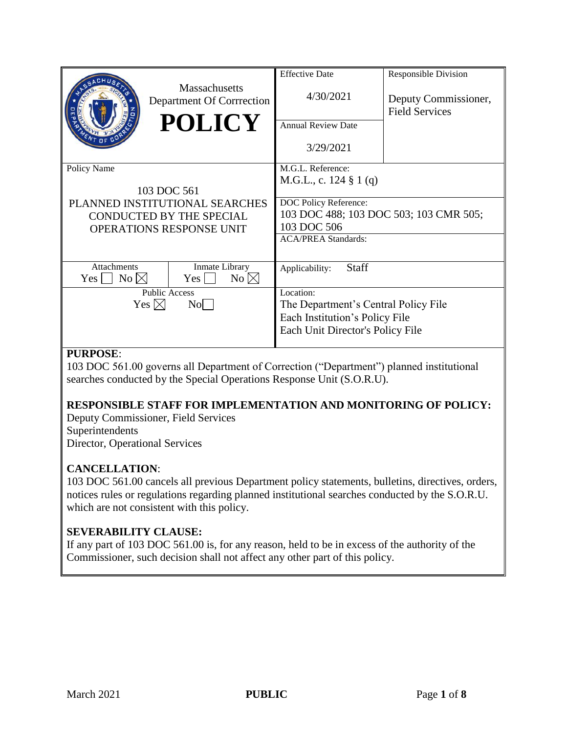|                                                                                               | <b>Massachusetts</b><br>Department Of Corrrection<br><b>POLICY</b> | <b>Effective Date</b><br>4/30/2021<br><b>Annual Review Date</b>                                                         | <b>Responsible Division</b><br>Deputy Commissioner,<br><b>Field Services</b> |
|-----------------------------------------------------------------------------------------------|--------------------------------------------------------------------|-------------------------------------------------------------------------------------------------------------------------|------------------------------------------------------------------------------|
|                                                                                               |                                                                    | 3/29/2021                                                                                                               |                                                                              |
| Policy Name                                                                                   | 103 DOC 561                                                        | M.G.L. Reference:<br>M.G.L., c. $124 \t{3} 1(q)$                                                                        |                                                                              |
| PLANNED INSTITUTIONAL SEARCHES<br>CONDUCTED BY THE SPECIAL<br><b>OPERATIONS RESPONSE UNIT</b> |                                                                    | DOC Policy Reference:<br>103 DOC 488; 103 DOC 503; 103 CMR 505;<br>103 DOC 506<br><b>ACA/PREA Standards:</b>            |                                                                              |
| <b>Attachments</b><br>$No \boxtimes$<br>Yes                                                   | Inmate Library<br>No $\boxtimes$<br>$Yes \mid \mid$                | <b>Staff</b><br>Applicability:                                                                                          |                                                                              |
|                                                                                               | <b>Public Access</b><br>Yes $\boxtimes$<br>$\overline{N_0}$        | Location:<br>The Department's Central Policy File<br>Each Institution's Policy File<br>Each Unit Director's Policy File |                                                                              |

## **PURPOSE**:

103 DOC 561.00 governs all Department of Correction ("Department") planned institutional searches conducted by the Special Operations Response Unit (S.O.R.U).

## **RESPONSIBLE STAFF FOR IMPLEMENTATION AND MONITORING OF POLICY:**

Deputy Commissioner, Field Services Superintendents Director, Operational Services

## **CANCELLATION**:

103 DOC 561.00 cancels all previous Department policy statements, bulletins, directives, orders, notices rules or regulations regarding planned institutional searches conducted by the S.O.R.U. which are not consistent with this policy.

## **SEVERABILITY CLAUSE:**

If any part of 103 DOC 561.00 is, for any reason, held to be in excess of the authority of the Commissioner, such decision shall not affect any other part of this policy.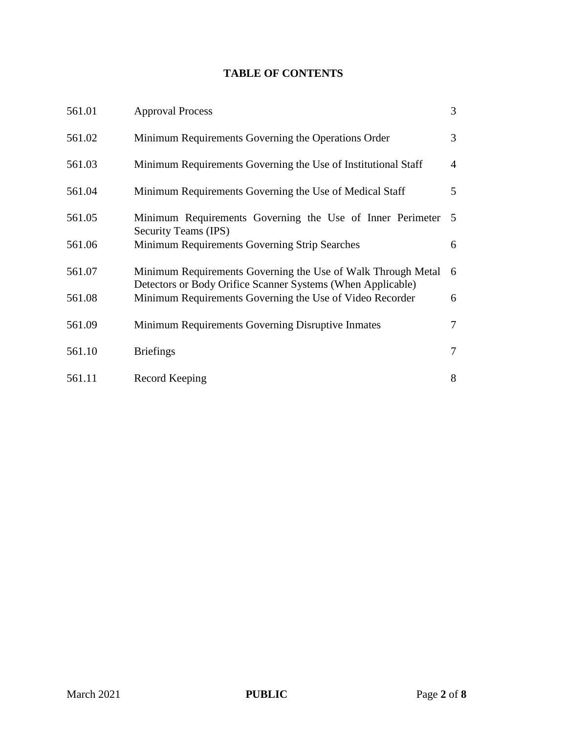# **TABLE OF CONTENTS**

| 561.01 | <b>Approval Process</b>                                                                                                     | $\mathfrak{Z}$ |
|--------|-----------------------------------------------------------------------------------------------------------------------------|----------------|
| 561.02 | Minimum Requirements Governing the Operations Order                                                                         | 3              |
| 561.03 | Minimum Requirements Governing the Use of Institutional Staff                                                               | $\overline{4}$ |
| 561.04 | Minimum Requirements Governing the Use of Medical Staff                                                                     | 5 <sup>5</sup> |
| 561.05 | Minimum Requirements Governing the Use of Inner Perimeter<br>Security Teams (IPS)                                           | 5              |
| 561.06 | Minimum Requirements Governing Strip Searches                                                                               | 6              |
| 561.07 | Minimum Requirements Governing the Use of Walk Through Metal<br>Detectors or Body Orifice Scanner Systems (When Applicable) | 6              |
| 561.08 | Minimum Requirements Governing the Use of Video Recorder                                                                    | 6              |
| 561.09 | Minimum Requirements Governing Disruptive Inmates                                                                           | $\tau$         |
| 561.10 | <b>Briefings</b>                                                                                                            | $\overline{7}$ |
| 561.11 | Record Keeping                                                                                                              | 8              |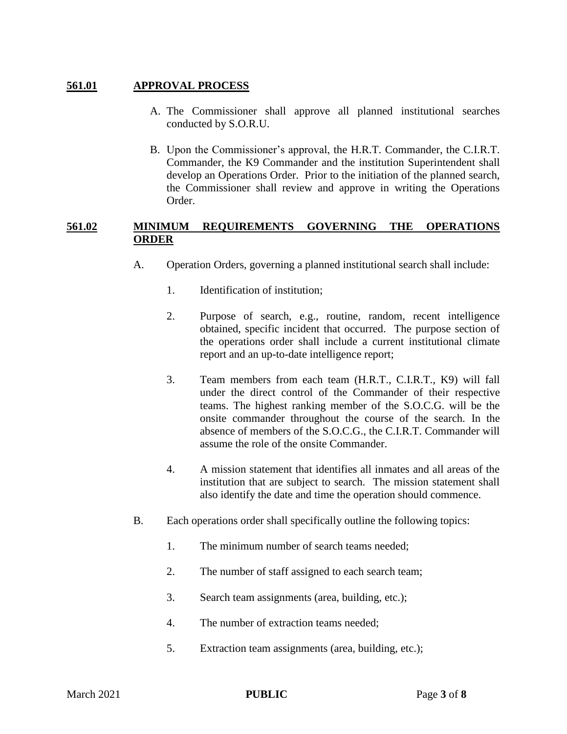#### **561.01 APPROVAL PROCESS**

- A. The Commissioner shall approve all planned institutional searches conducted by S.O.R.U.
- B. Upon the Commissioner's approval, the H.R.T. Commander, the C.I.R.T. Commander, the K9 Commander and the institution Superintendent shall develop an Operations Order. Prior to the initiation of the planned search, the Commissioner shall review and approve in writing the Operations Order.

#### **561.02 MINIMUM REQUIREMENTS GOVERNING THE OPERATIONS ORDER**

- A. Operation Orders, governing a planned institutional search shall include:
	- 1. Identification of institution;
	- 2. Purpose of search, e.g., routine, random, recent intelligence obtained, specific incident that occurred. The purpose section of the operations order shall include a current institutional climate report and an up-to-date intelligence report;
	- 3. Team members from each team (H.R.T., C.I.R.T., K9) will fall under the direct control of the Commander of their respective teams. The highest ranking member of the S.O.C.G. will be the onsite commander throughout the course of the search. In the absence of members of the S.O.C.G., the C.I.R.T. Commander will assume the role of the onsite Commander.
	- 4. A mission statement that identifies all inmates and all areas of the institution that are subject to search. The mission statement shall also identify the date and time the operation should commence.
- B. Each operations order shall specifically outline the following topics:
	- 1. The minimum number of search teams needed;
	- 2. The number of staff assigned to each search team;
	- 3. Search team assignments (area, building, etc.);
	- 4. The number of extraction teams needed;
	- 5. Extraction team assignments (area, building, etc.);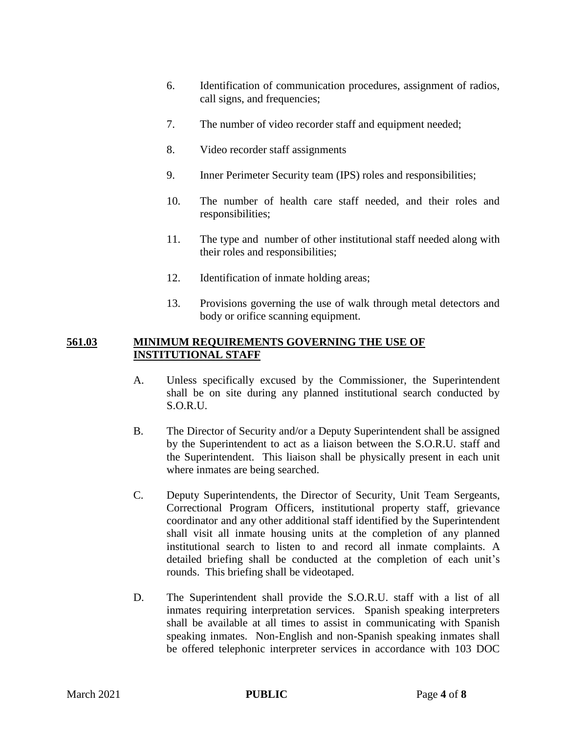- 6. Identification of communication procedures, assignment of radios, call signs, and frequencies;
- 7. The number of video recorder staff and equipment needed;
- 8. Video recorder staff assignments
- 9. Inner Perimeter Security team (IPS) roles and responsibilities;
- 10. The number of health care staff needed, and their roles and responsibilities;
- 11. The type and number of other institutional staff needed along with their roles and responsibilities;
- 12. Identification of inmate holding areas;
- 13. Provisions governing the use of walk through metal detectors and body or orifice scanning equipment.

#### **561.03 MINIMUM REQUIREMENTS GOVERNING THE USE OF INSTITUTIONAL STAFF**

- A. Unless specifically excused by the Commissioner, the Superintendent shall be on site during any planned institutional search conducted by S.O.R.U.
- B. The Director of Security and/or a Deputy Superintendent shall be assigned by the Superintendent to act as a liaison between the S.O.R.U. staff and the Superintendent. This liaison shall be physically present in each unit where inmates are being searched.
- C. Deputy Superintendents, the Director of Security, Unit Team Sergeants, Correctional Program Officers, institutional property staff, grievance coordinator and any other additional staff identified by the Superintendent shall visit all inmate housing units at the completion of any planned institutional search to listen to and record all inmate complaints. A detailed briefing shall be conducted at the completion of each unit's rounds. This briefing shall be videotaped.
- D. The Superintendent shall provide the S.O.R.U. staff with a list of all inmates requiring interpretation services. Spanish speaking interpreters shall be available at all times to assist in communicating with Spanish speaking inmates. Non-English and non-Spanish speaking inmates shall be offered telephonic interpreter services in accordance with 103 DOC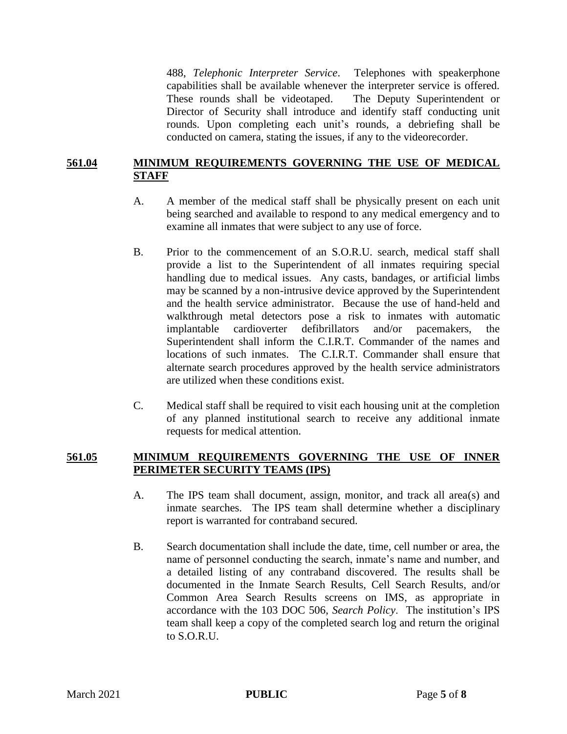488, *Telephonic Interpreter Service*. Telephones with speakerphone capabilities shall be available whenever the interpreter service is offered. These rounds shall be videotaped. The Deputy Superintendent or Director of Security shall introduce and identify staff conducting unit rounds. Upon completing each unit's rounds, a debriefing shall be conducted on camera, stating the issues, if any to the videorecorder.

#### **561.04 MINIMUM REQUIREMENTS GOVERNING THE USE OF MEDICAL STAFF**

- A. A member of the medical staff shall be physically present on each unit being searched and available to respond to any medical emergency and to examine all inmates that were subject to any use of force.
- B. Prior to the commencement of an S.O.R.U. search, medical staff shall provide a list to the Superintendent of all inmates requiring special handling due to medical issues. Any casts, bandages, or artificial limbs may be scanned by a non-intrusive device approved by the Superintendent and the health service administrator. Because the use of hand-held and walkthrough metal detectors pose a risk to inmates with automatic implantable cardioverter defibrillators and/or pacemakers, the Superintendent shall inform the C.I.R.T. Commander of the names and locations of such inmates. The C.I.R.T. Commander shall ensure that alternate search procedures approved by the health service administrators are utilized when these conditions exist.
- C. Medical staff shall be required to visit each housing unit at the completion of any planned institutional search to receive any additional inmate requests for medical attention.

#### **561.05 MINIMUM REQUIREMENTS GOVERNING THE USE OF INNER PERIMETER SECURITY TEAMS (IPS)**

- A. The IPS team shall document, assign, monitor, and track all area(s) and inmate searches. The IPS team shall determine whether a disciplinary report is warranted for contraband secured.
- B. Search documentation shall include the date, time, cell number or area, the name of personnel conducting the search, inmate's name and number, and a detailed listing of any contraband discovered. The results shall be documented in the Inmate Search Results, Cell Search Results, and/or Common Area Search Results screens on IMS, as appropriate in accordance with the 103 DOC 506, *Search Policy*. The institution's IPS team shall keep a copy of the completed search log and return the original to S.O.R.U.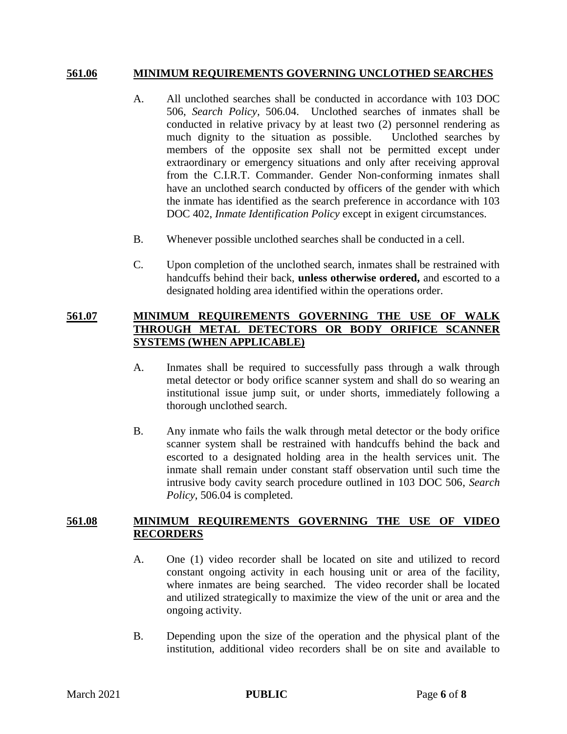#### **561.06 MINIMUM REQUIREMENTS GOVERNING UNCLOTHED SEARCHES**

- A. All unclothed searches shall be conducted in accordance with 103 DOC 506, *Search Policy,* 506.04. Unclothed searches of inmates shall be conducted in relative privacy by at least two (2) personnel rendering as much dignity to the situation as possible. Unclothed searches by members of the opposite sex shall not be permitted except under extraordinary or emergency situations and only after receiving approval from the C.I.R.T. Commander. Gender Non-conforming inmates shall have an unclothed search conducted by officers of the gender with which the inmate has identified as the search preference in accordance with 103 DOC 402, *Inmate Identification Policy* except in exigent circumstances.
- B. Whenever possible unclothed searches shall be conducted in a cell.
- C. Upon completion of the unclothed search, inmates shall be restrained with handcuffs behind their back, **unless otherwise ordered,** and escorted to a designated holding area identified within the operations order.

#### **561.07 MINIMUM REQUIREMENTS GOVERNING THE USE OF WALK THROUGH METAL DETECTORS OR BODY ORIFICE SCANNER SYSTEMS (WHEN APPLICABLE)**

- A. Inmates shall be required to successfully pass through a walk through metal detector or body orifice scanner system and shall do so wearing an institutional issue jump suit, or under shorts, immediately following a thorough unclothed search.
- B. Any inmate who fails the walk through metal detector or the body orifice scanner system shall be restrained with handcuffs behind the back and escorted to a designated holding area in the health services unit. The inmate shall remain under constant staff observation until such time the intrusive body cavity search procedure outlined in 103 DOC 506, *Search Policy*, 506.04 is completed.

#### **561.08 MINIMUM REQUIREMENTS GOVERNING THE USE OF VIDEO RECORDERS**

- A. One (1) video recorder shall be located on site and utilized to record constant ongoing activity in each housing unit or area of the facility, where inmates are being searched. The video recorder shall be located and utilized strategically to maximize the view of the unit or area and the ongoing activity.
- B. Depending upon the size of the operation and the physical plant of the institution, additional video recorders shall be on site and available to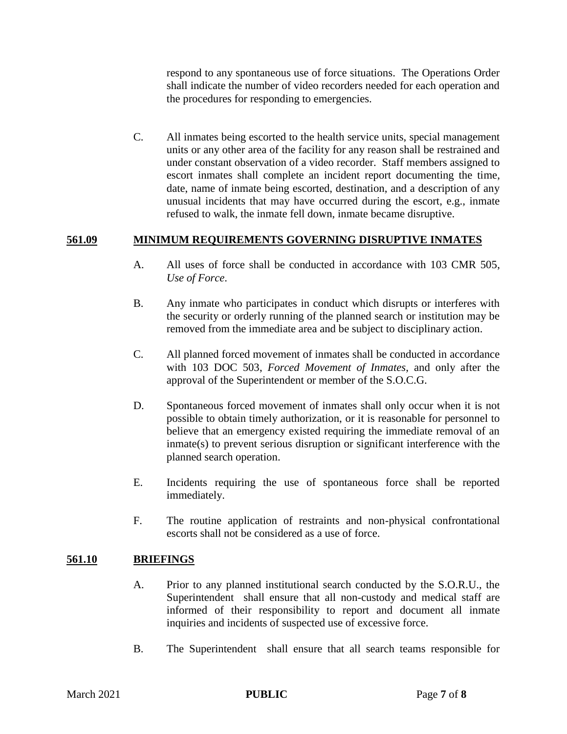respond to any spontaneous use of force situations. The Operations Order shall indicate the number of video recorders needed for each operation and the procedures for responding to emergencies.

C. All inmates being escorted to the health service units, special management units or any other area of the facility for any reason shall be restrained and under constant observation of a video recorder. Staff members assigned to escort inmates shall complete an incident report documenting the time, date, name of inmate being escorted, destination, and a description of any unusual incidents that may have occurred during the escort, e.g., inmate refused to walk, the inmate fell down, inmate became disruptive.

## **561.09 MINIMUM REQUIREMENTS GOVERNING DISRUPTIVE INMATES**

- A. All uses of force shall be conducted in accordance with 103 CMR 505, *Use of Force*.
- B. Any inmate who participates in conduct which disrupts or interferes with the security or orderly running of the planned search or institution may be removed from the immediate area and be subject to disciplinary action.
- C. All planned forced movement of inmates shall be conducted in accordance with 103 DOC 503, *Forced Movement of Inmates*, and only after the approval of the Superintendent or member of the S.O.C.G.
- D. Spontaneous forced movement of inmates shall only occur when it is not possible to obtain timely authorization, or it is reasonable for personnel to believe that an emergency existed requiring the immediate removal of an inmate(s) to prevent serious disruption or significant interference with the planned search operation.
- E. Incidents requiring the use of spontaneous force shall be reported immediately.
- F. The routine application of restraints and non-physical confrontational escorts shall not be considered as a use of force.

## **561.10 BRIEFINGS**

- A. Prior to any planned institutional search conducted by the S.O.R.U., the Superintendent shall ensure that all non-custody and medical staff are informed of their responsibility to report and document all inmate inquiries and incidents of suspected use of excessive force.
- B. The Superintendent shall ensure that all search teams responsible for